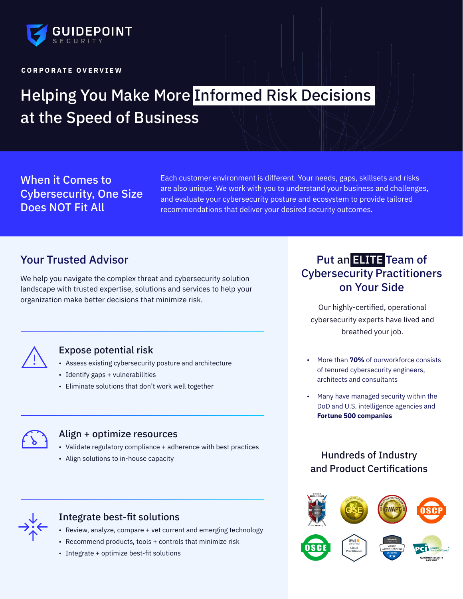

#### **C O R P O R A T E O V E R V I E W**

# Helping You Make More Informed Risk Decisions at the Speed of Business

When it Comes to Cybersecurity, One Size Does NOT Fit All

Each customer environment is different. Your needs, gaps, skillsets and risks are also unique. We work with you to understand your business and challenges, and evaluate your cybersecurity posture and ecosystem to provide tailored recommendations that deliver your desired security outcomes.

## Your Trusted Advisor

We help you navigate the complex threat and cybersecurity solution landscape with trusted expertise, solutions and services to help your organization make better decisions that minimize risk.



#### Expose potential risk

- Assess existing cybersecurity posture and architecture
- Identify gaps + vulnerabilities
- Eliminate solutions that don't work well together



#### Align + optimize resources

- Validate regulatory compliance + adherence with best practices
- Align solutions to in-house capacity



#### Integrate best-fit solutions

- Review, analyze, compare + vet current and emerging technology
- Recommend products, tools + controls that minimize risk
- Integrate + optimize best-fit solutions

# Put an ELITE Team of Cybersecurity Practitioners on Your Side

Our highly-certified, operational cybersecurity experts have lived and breathed your job.

- More than **70%** of ourworkforce consists of tenured cybersecurity engineers, architects and consultants
- Many have managed security within the DoD and U.S. intelligence agencies and **Fortune 500 companies**

## Hundreds of Industry and Product Certifications